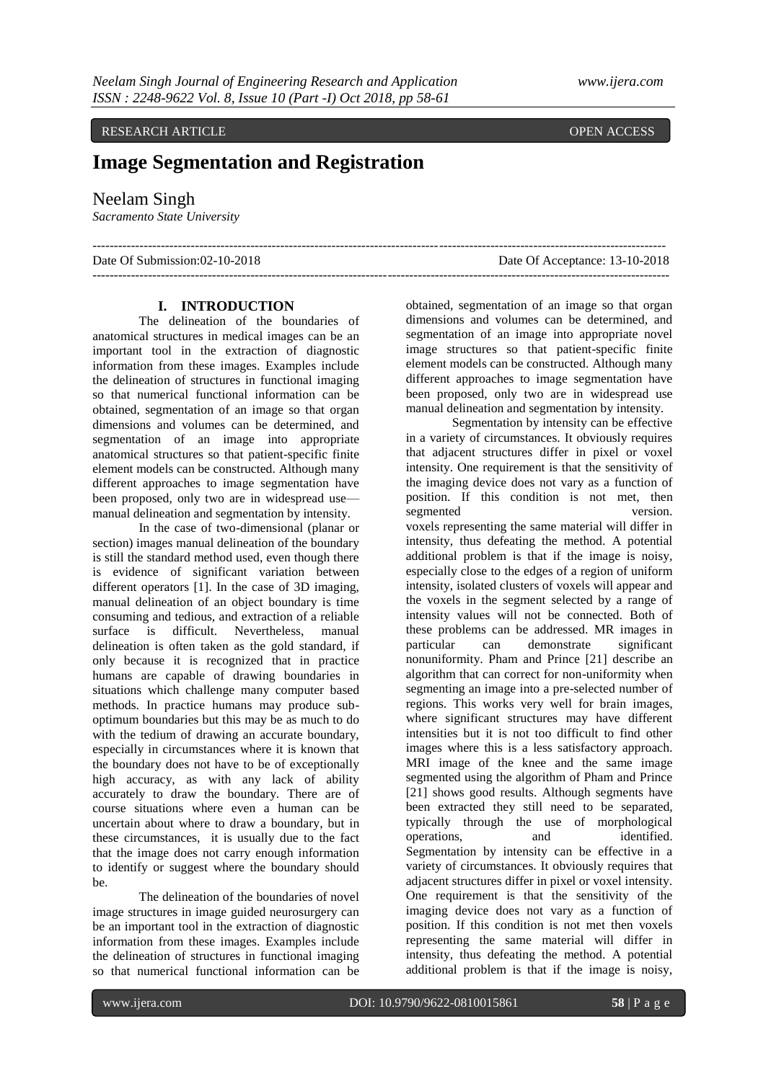### RESEARCH ARTICLE OPEN ACCESS

# **Image Segmentation and Registration**

# Neelam Singh

*Sacramento State University*

#### Date Of Submission:02-10-2018 Date Of Acceptance: 13-10-2018 ---------------------------------------------------------------------------------------------------------------------------------------

--------------------------------------------------------------------------------------------------------------------------------------

#### **I. INTRODUCTION**

The delineation of the boundaries of anatomical structures in medical images can be an important tool in the extraction of diagnostic information from these images. Examples include the delineation of structures in functional imaging so that numerical functional information can be obtained, segmentation of an image so that organ dimensions and volumes can be determined, and segmentation of an image into appropriate anatomical structures so that patient-specific finite element models can be constructed. Although many different approaches to image segmentation have been proposed, only two are in widespread use manual delineation and segmentation by intensity.

In the case of two-dimensional (planar or section) images manual delineation of the boundary is still the standard method used, even though there is evidence of significant variation between different operators [1]. In the case of 3D imaging, manual delineation of an object boundary is time consuming and tedious, and extraction of a reliable surface is difficult. Nevertheless, manual delineation is often taken as the gold standard, if only because it is recognized that in practice humans are capable of drawing boundaries in situations which challenge many computer based methods. In practice humans may produce suboptimum boundaries but this may be as much to do with the tedium of drawing an accurate boundary, especially in circumstances where it is known that the boundary does not have to be of exceptionally high accuracy, as with any lack of ability accurately to draw the boundary. There are of course situations where even a human can be uncertain about where to draw a boundary, but in these circumstances, it is usually due to the fact that the image does not carry enough information to identify or suggest where the boundary should be.

The delineation of the boundaries of novel image structures in image guided neurosurgery can be an important tool in the extraction of diagnostic information from these images. Examples include the delineation of structures in functional imaging so that numerical functional information can be

obtained, segmentation of an image so that organ dimensions and volumes can be determined, and segmentation of an image into appropriate novel image structures so that patient-specific finite element models can be constructed. Although many different approaches to image segmentation have been proposed, only two are in widespread use manual delineation and segmentation by intensity.

Segmentation by intensity can be effective in a variety of circumstances. It obviously requires that adjacent structures differ in pixel or voxel intensity. One requirement is that the sensitivity of the imaging device does not vary as a function of position. If this condition is not met, then segmented version. voxels representing the same material will differ in intensity, thus defeating the method. A potential additional problem is that if the image is noisy, especially close to the edges of a region of uniform intensity, isolated clusters of voxels will appear and the voxels in the segment selected by a range of intensity values will not be connected. Both of these problems can be addressed. MR images in particular can demonstrate significant nonuniformity. Pham and Prince [21] describe an algorithm that can correct for non-uniformity when segmenting an image into a pre-selected number of regions. This works very well for brain images, where significant structures may have different intensities but it is not too difficult to find other images where this is a less satisfactory approach. MRI image of the knee and the same image segmented using the algorithm of Pham and Prince [21] shows good results. Although segments have been extracted they still need to be separated, typically through the use of morphological operations, and identified. Segmentation by intensity can be effective in a variety of circumstances. It obviously requires that adjacent structures differ in pixel or voxel intensity. One requirement is that the sensitivity of the imaging device does not vary as a function of position. If this condition is not met then voxels representing the same material will differ in intensity, thus defeating the method. A potential additional problem is that if the image is noisy,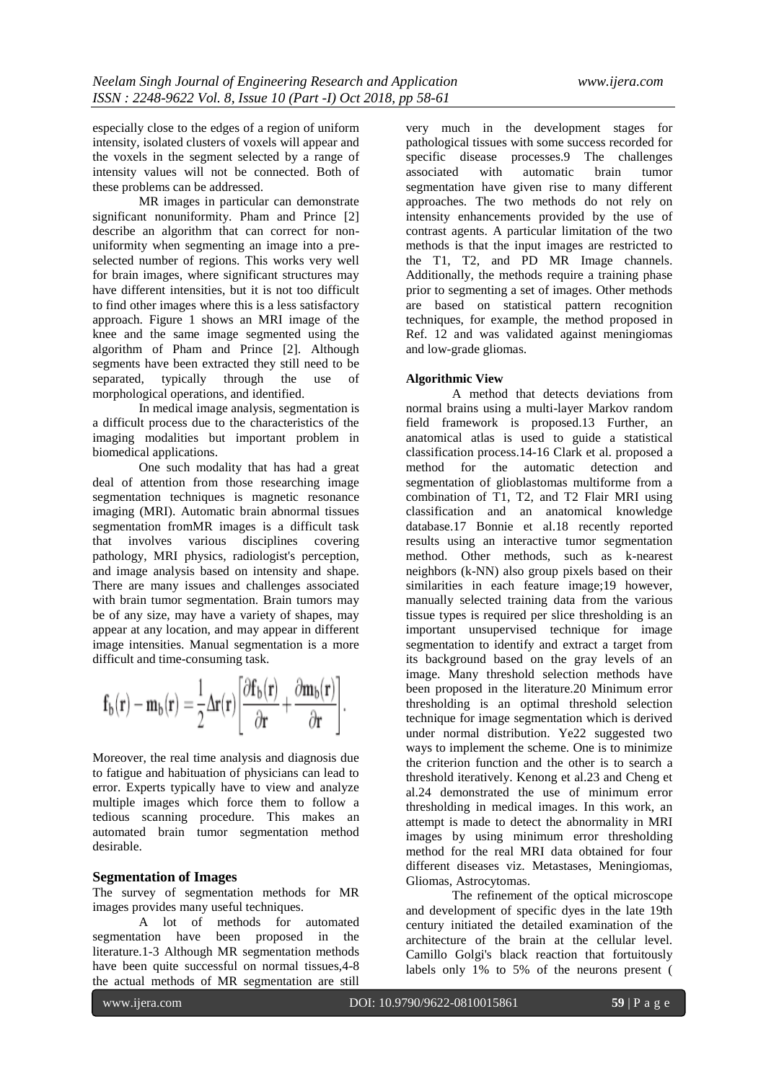especially close to the edges of a region of uniform intensity, isolated clusters of voxels will appear and the voxels in the segment selected by a range of intensity values will not be connected. Both of these problems can be addressed.

MR images in particular can demonstrate significant nonuniformity. Pham and Prince [2] describe an algorithm that can correct for nonuniformity when segmenting an image into a preselected number of regions. This works very well for brain images, where significant structures may have different intensities, but it is not too difficult to find other images where this is a less satisfactory approach. Figure 1 shows an MRI image of the knee and the same image segmented using the algorithm of Pham and Prince [2]. Although segments have been extracted they still need to be separated, typically through the use of morphological operations, and identified.

In medical image analysis, segmentation is a difficult process due to the characteristics of the imaging modalities but important problem in biomedical applications.

One such modality that has had a great deal of attention from those researching image segmentation techniques is magnetic resonance imaging (MRI). Automatic brain abnormal tissues segmentation fromMR images is a difficult task that involves various disciplines covering pathology, MRI physics, radiologist's perception, and image analysis based on intensity and shape. There are many issues and challenges associated with brain tumor segmentation. Brain tumors may be of any size, may have a variety of shapes, may appear at any location, and may appear in different image intensities. Manual segmentation is a more difficult and time-consuming task.

$$
\mathbf{f}_b(\mathbf{r}) - \mathbf{m}_b(\mathbf{r}) = \frac{1}{2} \Delta \mathbf{r}(\mathbf{r}) \left[ \frac{\partial \mathbf{f}_b(\mathbf{r})}{\partial \mathbf{r}} + \frac{\partial \mathbf{m}_b(\mathbf{r})}{\partial \mathbf{r}} \right].
$$

Moreover, the real time analysis and diagnosis due to fatigue and habituation of physicians can lead to error. Experts typically have to view and analyze multiple images which force them to follow a tedious scanning procedure. This makes an automated brain tumor segmentation method desirable.

# **Segmentation of Images**

The survey of segmentation methods for MR images provides many useful techniques.

A lot of methods for automated segmentation have been proposed in the literature.1-3 Although MR segmentation methods have been quite successful on normal tissues,4-8 the actual methods of MR segmentation are still

very much in the development stages for pathological tissues with some success recorded for specific disease processes.9 The challenges associated with automatic brain tumor segmentation have given rise to many different approaches. The two methods do not rely on intensity enhancements provided by the use of contrast agents. A particular limitation of the two methods is that the input images are restricted to the T1, T2, and PD MR Image channels. Additionally, the methods require a training phase prior to segmenting a set of images. Other methods are based on statistical pattern recognition techniques, for example, the method proposed in Ref. 12 and was validated against meningiomas and low-grade gliomas.

# **Algorithmic View**

A method that detects deviations from normal brains using a multi-layer Markov random field framework is proposed.13 Further, an anatomical atlas is used to guide a statistical classification process.14-16 Clark et al. proposed a method for the automatic detection and segmentation of glioblastomas multiforme from a combination of T1, T2, and T2 Flair MRI using classification and an anatomical knowledge database.17 Bonnie et al.18 recently reported results using an interactive tumor segmentation method. Other methods, such as k-nearest neighbors (k-NN) also group pixels based on their similarities in each feature image;19 however, manually selected training data from the various tissue types is required per slice thresholding is an important unsupervised technique for image segmentation to identify and extract a target from its background based on the gray levels of an image. Many threshold selection methods have been proposed in the literature.20 Minimum error thresholding is an optimal threshold selection technique for image segmentation which is derived under normal distribution. Ye22 suggested two ways to implement the scheme. One is to minimize the criterion function and the other is to search a threshold iteratively. Kenong et al.23 and Cheng et al.24 demonstrated the use of minimum error thresholding in medical images. In this work, an attempt is made to detect the abnormality in MRI images by using minimum error thresholding method for the real MRI data obtained for four different diseases viz. Metastases, Meningiomas, Gliomas, Astrocytomas.

The refinement of the optical microscope and development of specific dyes in the late 19th century initiated the detailed examination of the architecture of the brain at the cellular level. Camillo Golgi's black reaction that fortuitously labels only 1% to 5% of the neurons present (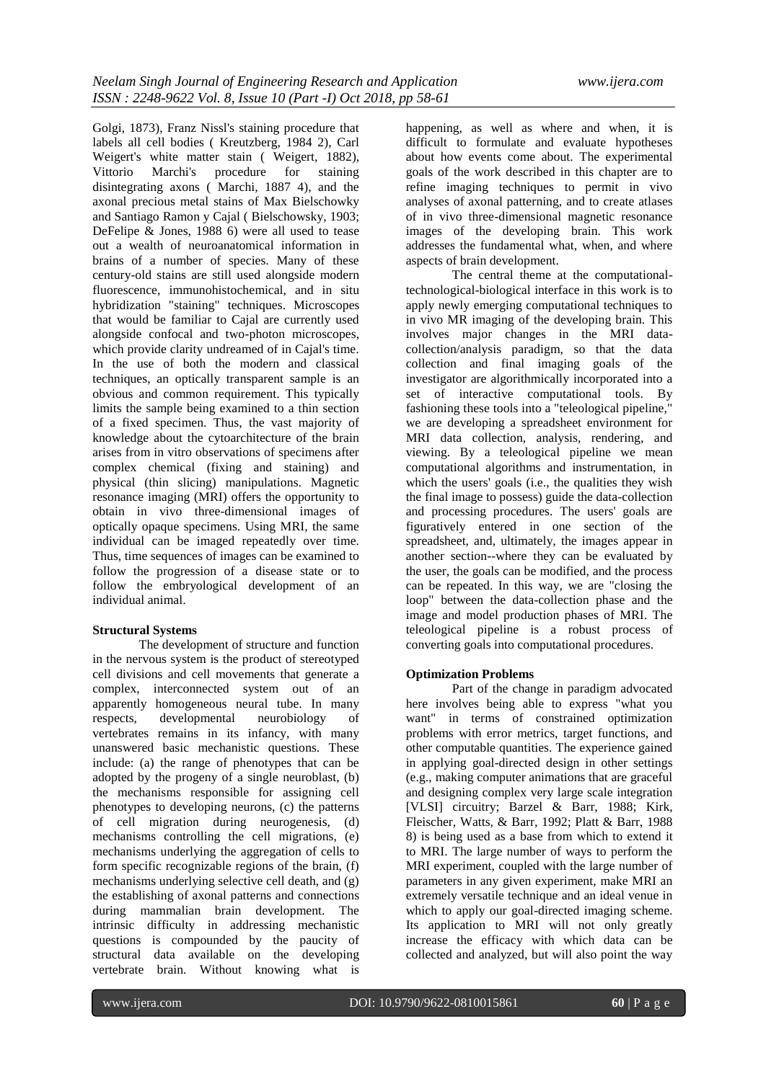Golgi, 1873), Franz Nissl's staining procedure that labels all cell bodies ( Kreutzberg, 1984 2), Carl Weigert's white matter stain ( Weigert, 1882), Vittorio Marchi's procedure for staining disintegrating axons ( Marchi, 1887 4), and the axonal precious metal stains of Max Bielschowky and Santiago Ramon y Cajal ( Bielschowsky, 1903; DeFelipe & Jones, 1988 6) were all used to tease out a wealth of neuroanatomical information in brains of a number of species. Many of these century-old stains are still used alongside modern fluorescence, immunohistochemical, and in situ hybridization "staining" techniques. Microscopes that would be familiar to Cajal are currently used alongside confocal and two-photon microscopes, which provide clarity undreamed of in Cajal's time. In the use of both the modern and classical techniques, an optically transparent sample is an obvious and common requirement. This typically limits the sample being examined to a thin section of a fixed specimen. Thus, the vast majority of knowledge about the cytoarchitecture of the brain arises from in vitro observations of specimens after complex chemical (fixing and staining) and physical (thin slicing) manipulations. Magnetic resonance imaging (MRI) offers the opportunity to obtain in vivo three-dimensional images of optically opaque specimens. Using MRI, the same individual can be imaged repeatedly over time. Thus, time sequences of images can be examined to follow the progression of a disease state or to follow the embryological development of an individual animal.

#### **Structural Systems**

The development of structure and function in the nervous system is the product of stereotyped cell divisions and cell movements that generate a complex, interconnected system out of an apparently homogeneous neural tube. In many respects, developmental neurobiology of vertebrates remains in its infancy, with many unanswered basic mechanistic questions. These include: (a) the range of phenotypes that can be adopted by the progeny of a single neuroblast, (b) the mechanisms responsible for assigning cell phenotypes to developing neurons, (c) the patterns of cell migration during neurogenesis, (d) mechanisms controlling the cell migrations, (e) mechanisms underlying the aggregation of cells to form specific recognizable regions of the brain, (f) mechanisms underlying selective cell death, and (g) the establishing of axonal patterns and connections during mammalian brain development. The intrinsic difficulty in addressing mechanistic questions is compounded by the paucity of structural data available on the developing vertebrate brain. Without knowing what is

happening, as well as where and when, it is difficult to formulate and evaluate hypotheses about how events come about. The experimental goals of the work described in this chapter are to refine imaging techniques to permit in vivo analyses of axonal patterning, and to create atlases of in vivo three-dimensional magnetic resonance images of the developing brain. This work addresses the fundamental what, when, and where aspects of brain development.

The central theme at the computationaltechnological-biological interface in this work is to apply newly emerging computational techniques to in vivo MR imaging of the developing brain. This involves major changes in the MRI datacollection/analysis paradigm, so that the data collection and final imaging goals of the investigator are algorithmically incorporated into a set of interactive computational tools. By fashioning these tools into a "teleological pipeline," we are developing a spreadsheet environment for MRI data collection, analysis, rendering, and viewing. By a teleological pipeline we mean computational algorithms and instrumentation, in which the users' goals (i.e., the qualities they wish the final image to possess) guide the data-collection and processing procedures. The users' goals are figuratively entered in one section of the spreadsheet, and, ultimately, the images appear in another section--where they can be evaluated by the user, the goals can be modified, and the process can be repeated. In this way, we are "closing the loop" between the data-collection phase and the image and model production phases of MRI. The teleological pipeline is a robust process of converting goals into computational procedures.

# **Optimization Problems**

Part of the change in paradigm advocated here involves being able to express "what you want" in terms of constrained optimization problems with error metrics, target functions, and other computable quantities. The experience gained in applying goal-directed design in other settings (e.g., making computer animations that are graceful and designing complex very large scale integration [VLSI] circuitry; Barzel & Barr, 1988; Kirk, Fleischer, Watts, & Barr, 1992; Platt & Barr, 1988 8) is being used as a base from which to extend it to MRI. The large number of ways to perform the MRI experiment, coupled with the large number of parameters in any given experiment, make MRI an extremely versatile technique and an ideal venue in which to apply our goal-directed imaging scheme. Its application to MRI will not only greatly increase the efficacy with which data can be collected and analyzed, but will also point the way